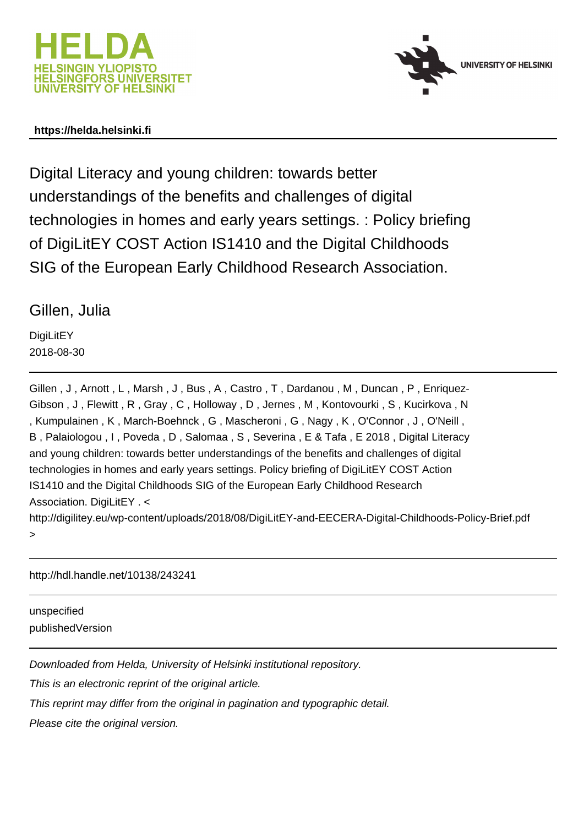



#### **https://helda.helsinki.fi**

Digital Literacy and young children: towards better understandings of the benefits and challenges of digital technologies in homes and early years settings. : Policy briefing of DigiLitEY COST Action IS1410 and the Digital Childhoods SIG of the European Early Childhood Research Association.

#### Gillen, Julia

**DigiLitEY** 2018-08-30

Gillen, J, Arnott, L, Marsh, J, Bus, A, Castro, T, Dardanou, M, Duncan, P, Enriquez-Gibson , J , Flewitt , R , Gray , C , Holloway , D , Jernes , M , Kontovourki , S , Kucirkova , N , Kumpulainen , K , March-Boehnck , G , Mascheroni , G , Nagy , K , O'Connor , J , O'Neill , B , Palaiologou , I , Poveda , D , Salomaa , S , Severina , E & Tafa , E 2018 , Digital Literacy and young children: towards better understandings of the benefits and challenges of digital technologies in homes and early years settings. Policy briefing of DigiLitEY COST Action IS1410 and the Digital Childhoods SIG of the European Early Childhood Research Association. DigiLitEY . < http://digilitey.eu/wp-content/uploads/2018/08/DigiLitEY-and-EECERA-Digital-Childhoods-Policy-Brief.pdf

http://hdl.handle.net/10138/243241

unspecified publishedVersion

>

Downloaded from Helda, University of Helsinki institutional repository.

This is an electronic reprint of the original article.

This reprint may differ from the original in pagination and typographic detail.

Please cite the original version.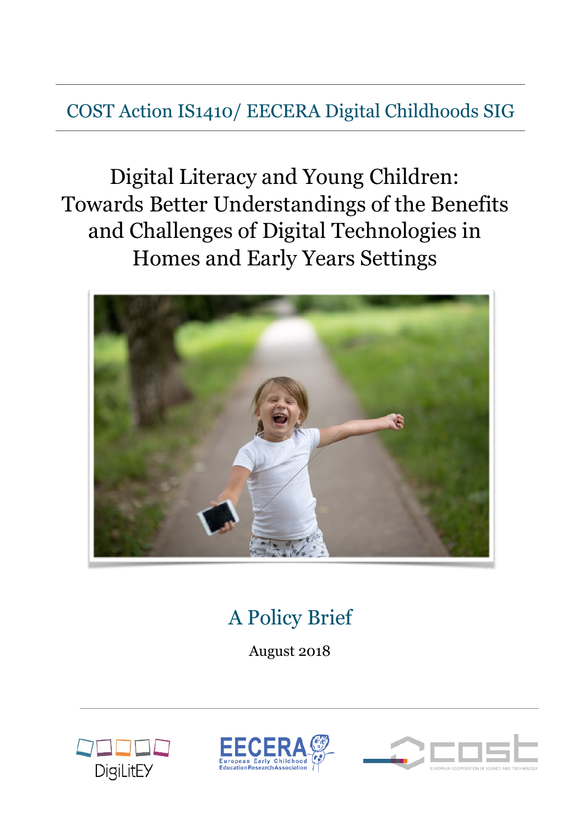### COST Action IS1410/ EECERA Digital Childhoods SIG

Digital Literacy and Young Children: Towards Better Understandings of the Benefits and Challenges of Digital Technologies in Homes and Early Years Settings



## A Policy Brief

August 2018





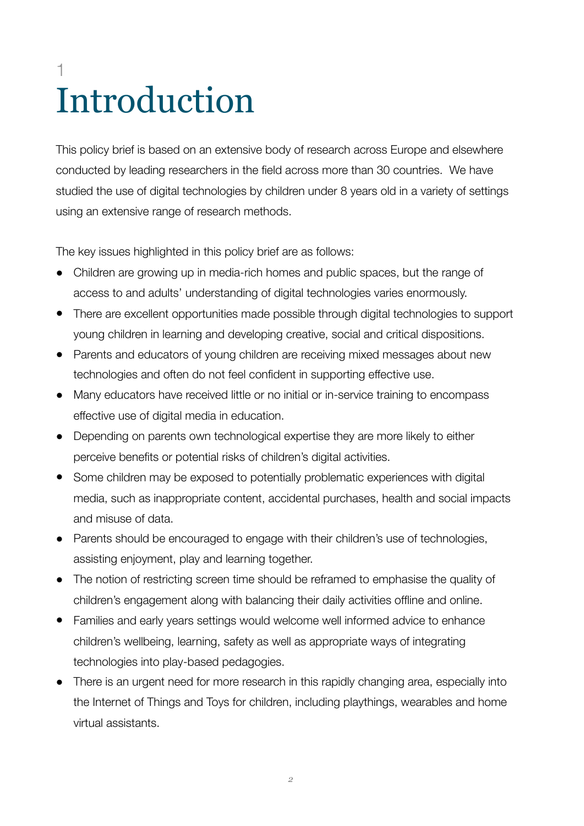# 1 Introduction

This policy brief is based on an extensive body of research across Europe and elsewhere conducted by leading researchers in the field across more than 30 countries. We have studied the use of digital technologies by children under 8 years old in a variety of settings using an extensive range of research methods.

The key issues highlighted in this policy brief are as follows:

- Children are growing up in media-rich homes and public spaces, but the range of access to and adults' understanding of digital technologies varies enormously.
- There are excellent opportunities made possible through digital technologies to support young children in learning and developing creative, social and critical dispositions.
- ! Parents and educators of young children are receiving mixed messages about new technologies and often do not feel confident in supporting effective use.
- Many educators have received little or no initial or in-service training to encompass effective use of digital media in education.
- Depending on parents own technological expertise they are more likely to either perceive benefits or potential risks of children's digital activities.
- Some children may be exposed to potentially problematic experiences with digital media, such as inappropriate content, accidental purchases, health and social impacts and misuse of data.
- Parents should be encouraged to engage with their children's use of technologies, assisting enjoyment, play and learning together.
- The notion of restricting screen time should be reframed to emphasise the quality of children's engagement along with balancing their daily activities offline and online.
- ! Families and early years settings would welcome well informed advice to enhance children's wellbeing, learning, safety as well as appropriate ways of integrating technologies into play-based pedagogies.
- ! There is an urgent need for more research in this rapidly changing area, especially into the Internet of Things and Toys for children, including playthings, wearables and home virtual assistants.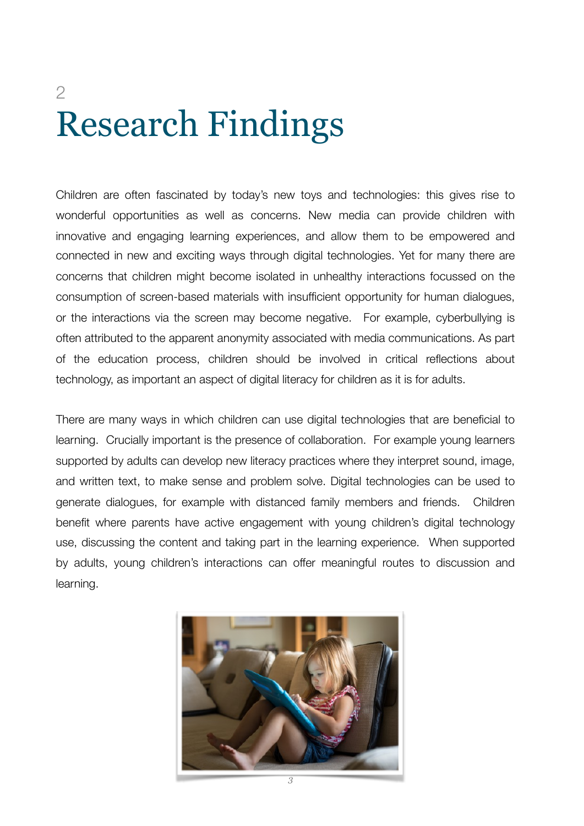# 2 Research Findings

Children are often fascinated by today's new toys and technologies: this gives rise to wonderful opportunities as well as concerns. New media can provide children with innovative and engaging learning experiences, and allow them to be empowered and connected in new and exciting ways through digital technologies. Yet for many there are concerns that children might become isolated in unhealthy interactions focussed on the consumption of screen-based materials with insufficient opportunity for human dialogues, or the interactions via the screen may become negative. For example, cyberbullying is often attributed to the apparent anonymity associated with media communications. As part of the education process, children should be involved in critical reflections about technology, as important an aspect of digital literacy for children as it is for adults.

There are many ways in which children can use digital technologies that are beneficial to learning. Crucially important is the presence of collaboration. For example young learners supported by adults can develop new literacy practices where they interpret sound, image, and written text, to make sense and problem solve. Digital technologies can be used to generate dialogues, for example with distanced family members and friends. Children benefit where parents have active engagement with young children's digital technology use, discussing the content and taking part in the learning experience. When supported by adults, young children's interactions can offer meaningful routes to discussion and learning.

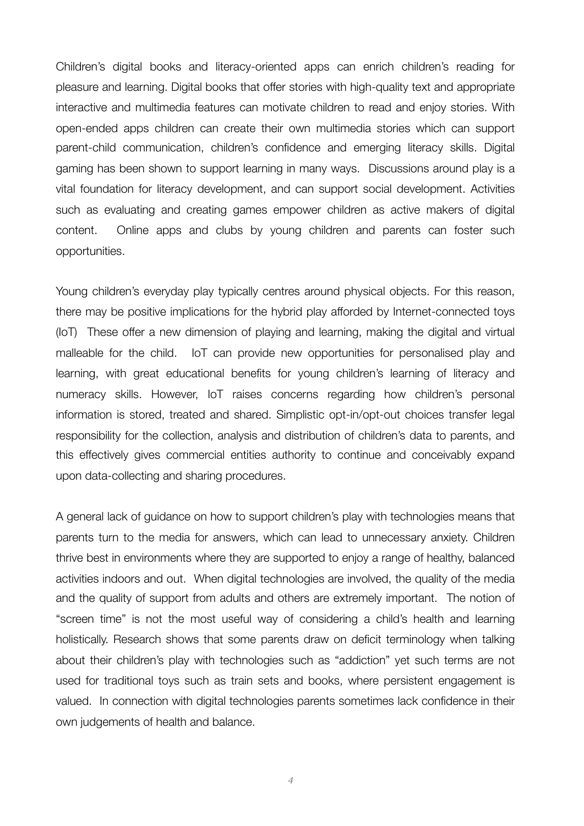Children's digital books and literacy-oriented apps can enrich children's reading for pleasure and learning. Digital books that offer stories with high-quality text and appropriate interactive and multimedia features can motivate children to read and enjoy stories. With open-ended apps children can create their own multimedia stories which can support parent-child communication, children's confidence and emerging literacy skills. Digital gaming has been shown to support learning in many ways. Discussions around play is a vital foundation for literacy development, and can support social development. Activities such as evaluating and creating games empower children as active makers of digital content. Online apps and clubs by young children and parents can foster such opportunities.

Young children's everyday play typically centres around physical objects. For this reason, there may be positive implications for the hybrid play afforded by Internet-connected toys (IoT) These offer a new dimension of playing and learning, making the digital and virtual malleable for the child. IoT can provide new opportunities for personalised play and learning, with great educational benefits for young children's learning of literacy and numeracy skills. However, IoT raises concerns regarding how children's personal information is stored, treated and shared. Simplistic opt-in/opt-out choices transfer legal responsibility for the collection, analysis and distribution of children's data to parents, and this effectively gives commercial entities authority to continue and conceivably expand upon data-collecting and sharing procedures.

A general lack of guidance on how to support children's play with technologies means that parents turn to the media for answers, which can lead to unnecessary anxiety. Children thrive best in environments where they are supported to enjoy a range of healthy, balanced activities indoors and out. When digital technologies are involved, the quality of the media and the quality of support from adults and others are extremely important. The notion of "screen time" is not the most useful way of considering a child's health and learning holistically. Research shows that some parents draw on deficit terminology when talking about their children's play with technologies such as "addiction" yet such terms are not used for traditional toys such as train sets and books, where persistent engagement is valued. In connection with digital technologies parents sometimes lack confidence in their own judgements of health and balance.

*4*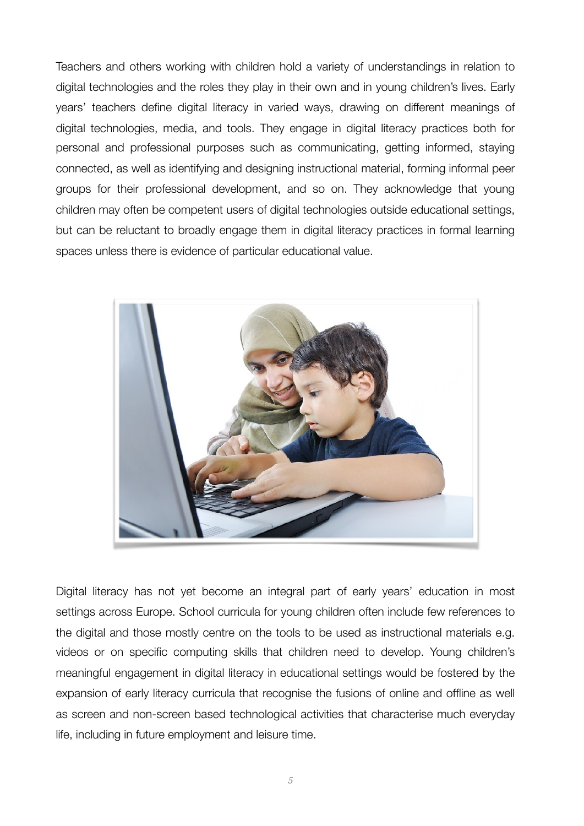Teachers and others working with children hold a variety of understandings in relation to digital technologies and the roles they play in their own and in young children's lives. Early years' teachers define digital literacy in varied ways, drawing on different meanings of digital technologies, media, and tools. They engage in digital literacy practices both for personal and professional purposes such as communicating, getting informed, staying connected, as well as identifying and designing instructional material, forming informal peer groups for their professional development, and so on. They acknowledge that young children may often be competent users of digital technologies outside educational settings, but can be reluctant to broadly engage them in digital literacy practices in formal learning spaces unless there is evidence of particular educational value.



Digital literacy has not yet become an integral part of early years' education in most settings across Europe. School curricula for young children often include few references to the digital and those mostly centre on the tools to be used as instructional materials e.g. videos or on specific computing skills that children need to develop. Young children's meaningful engagement in digital literacy in educational settings would be fostered by the expansion of early literacy curricula that recognise the fusions of online and offline as well as screen and non-screen based technological activities that characterise much everyday life, including in future employment and leisure time.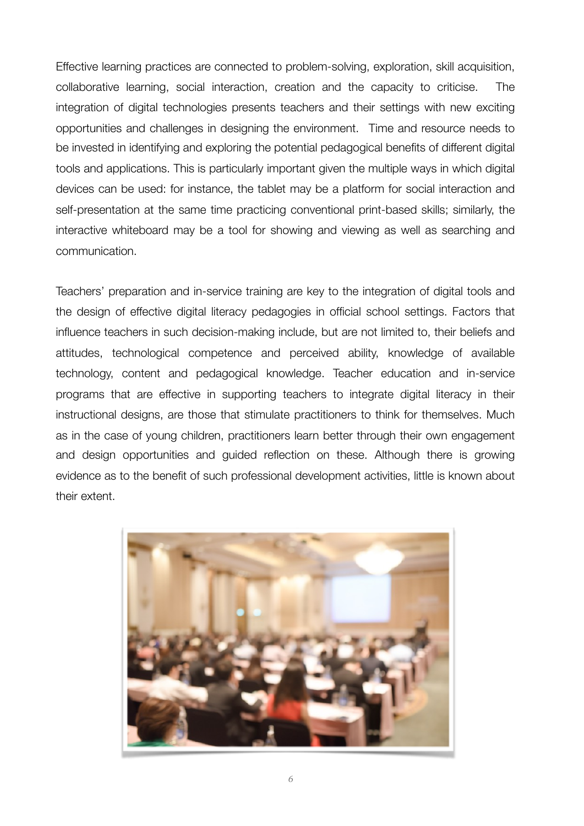Effective learning practices are connected to problem-solving, exploration, skill acquisition, collaborative learning, social interaction, creation and the capacity to criticise. The integration of digital technologies presents teachers and their settings with new exciting opportunities and challenges in designing the environment. Time and resource needs to be invested in identifying and exploring the potential pedagogical benefits of different digital tools and applications. This is particularly important given the multiple ways in which digital devices can be used: for instance, the tablet may be a platform for social interaction and self-presentation at the same time practicing conventional print-based skills; similarly, the interactive whiteboard may be a tool for showing and viewing as well as searching and communication.

Teachers' preparation and in-service training are key to the integration of digital tools and the design of effective digital literacy pedagogies in official school settings. Factors that influence teachers in such decision-making include, but are not limited to, their beliefs and attitudes, technological competence and perceived ability, knowledge of available technology, content and pedagogical knowledge. Teacher education and in-service programs that are effective in supporting teachers to integrate digital literacy in their instructional designs, are those that stimulate practitioners to think for themselves. Much as in the case of young children, practitioners learn better through their own engagement and design opportunities and guided reflection on these. Although there is growing evidence as to the benefit of such professional development activities, little is known about their extent.

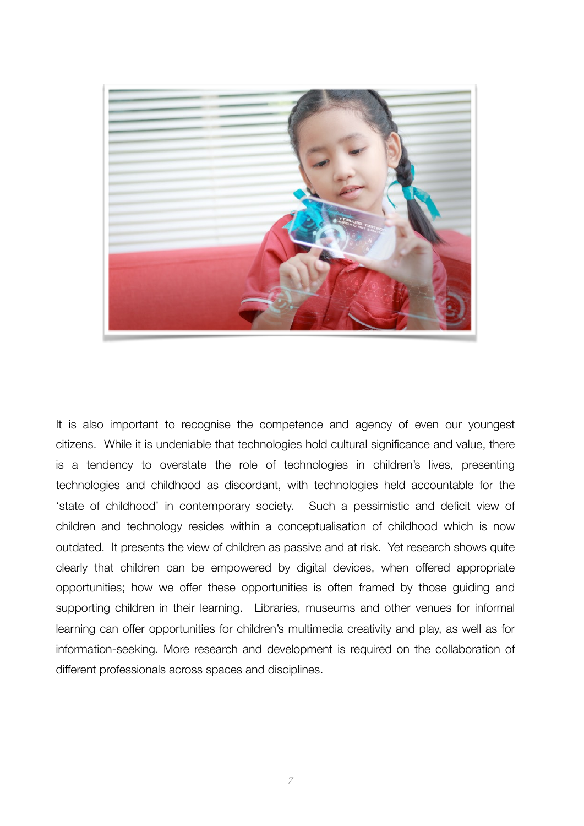

It is also important to recognise the competence and agency of even our youngest citizens. While it is undeniable that technologies hold cultural significance and value, there is a tendency to overstate the role of technologies in children's lives, presenting technologies and childhood as discordant, with technologies held accountable for the 'state of childhood' in contemporary society. Such a pessimistic and deficit view of children and technology resides within a conceptualisation of childhood which is now outdated. It presents the view of children as passive and at risk. Yet research shows quite clearly that children can be empowered by digital devices, when offered appropriate opportunities; how we offer these opportunities is often framed by those guiding and supporting children in their learning. Libraries, museums and other venues for informal learning can offer opportunities for children's multimedia creativity and play, as well as for information-seeking. More research and development is required on the collaboration of different professionals across spaces and disciplines.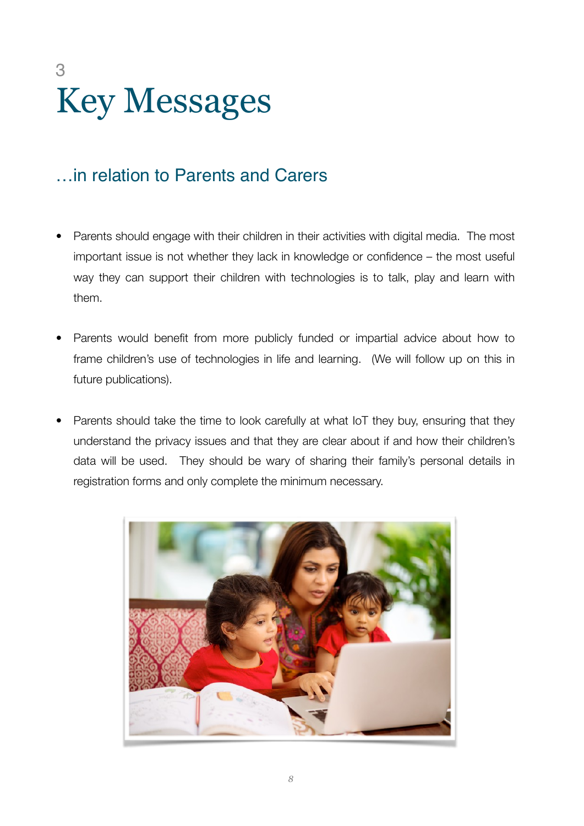# 3 Key Messages

### …in relation to Parents and Carers

- Parents should engage with their children in their activities with digital media. The most important issue is not whether they lack in knowledge or confidence – the most useful way they can support their children with technologies is to talk, play and learn with them.
- Parents would benefit from more publicly funded or impartial advice about how to frame children's use of technologies in life and learning. (We will follow up on this in future publications).
- Parents should take the time to look carefully at what IoT they buy, ensuring that they understand the privacy issues and that they are clear about if and how their children's data will be used. They should be wary of sharing their family's personal details in registration forms and only complete the minimum necessary.

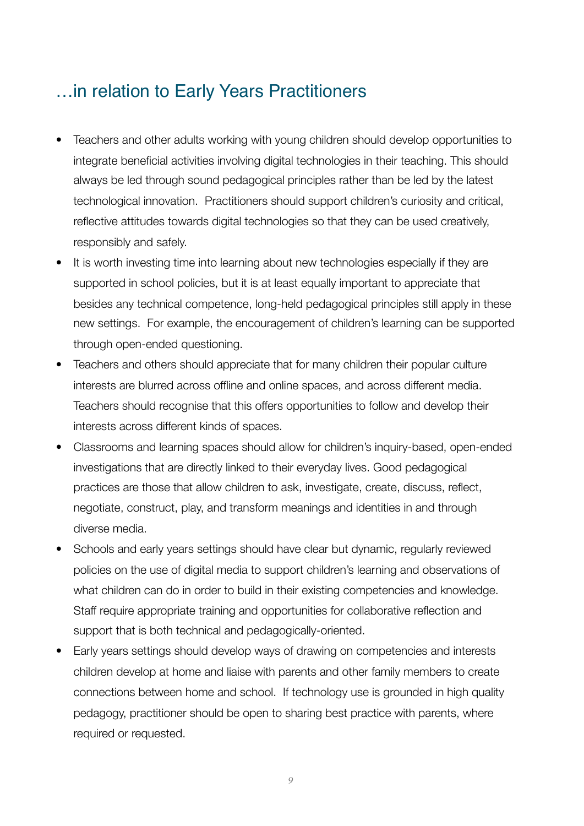#### …in relation to Early Years Practitioners

- Teachers and other adults working with young children should develop opportunities to integrate beneficial activities involving digital technologies in their teaching. This should always be led through sound pedagogical principles rather than be led by the latest technological innovation. Practitioners should support children's curiosity and critical, reflective attitudes towards digital technologies so that they can be used creatively, responsibly and safely.
- It is worth investing time into learning about new technologies especially if they are supported in school policies, but it is at least equally important to appreciate that besides any technical competence, long-held pedagogical principles still apply in these new settings. For example, the encouragement of children's learning can be supported through open-ended questioning.
- Teachers and others should appreciate that for many children their popular culture interests are blurred across offline and online spaces, and across different media. Teachers should recognise that this offers opportunities to follow and develop their interests across different kinds of spaces.
- Classrooms and learning spaces should allow for children's inquiry-based, open-ended investigations that are directly linked to their everyday lives. Good pedagogical practices are those that allow children to ask, investigate, create, discuss, reflect, negotiate, construct, play, and transform meanings and identities in and through diverse media.
- Schools and early years settings should have clear but dynamic, regularly reviewed policies on the use of digital media to support children's learning and observations of what children can do in order to build in their existing competencies and knowledge. Staff require appropriate training and opportunities for collaborative reflection and support that is both technical and pedagogically-oriented.
- Early years settings should develop ways of drawing on competencies and interests children develop at home and liaise with parents and other family members to create connections between home and school. If technology use is grounded in high quality pedagogy, practitioner should be open to sharing best practice with parents, where required or requested.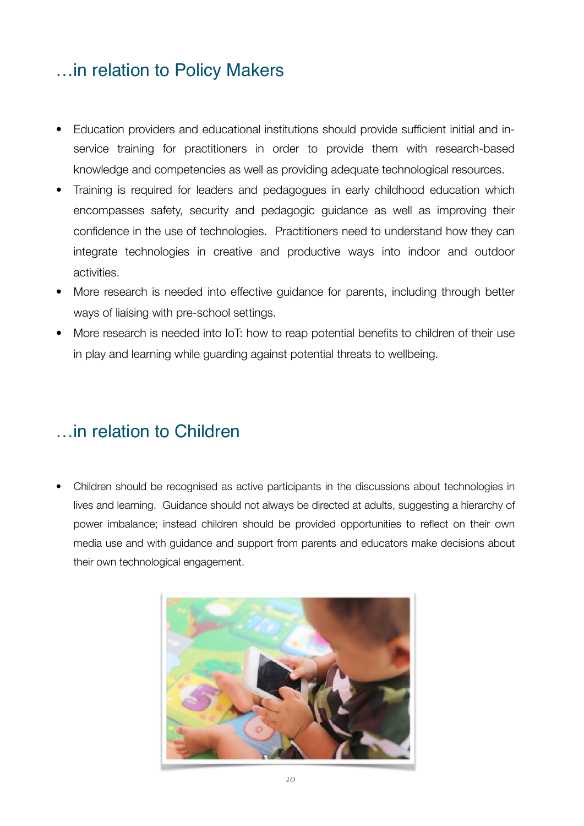### …in relation to Policy Makers

- Education providers and educational institutions should provide sufficient initial and inservice training for practitioners in order to provide them with research-based knowledge and competencies as well as providing adequate technological resources.
- Training is required for leaders and pedagogues in early childhood education which encompasses safety, security and pedagogic guidance as well as improving their confidence in the use of technologies. Practitioners need to understand how they can integrate technologies in creative and productive ways into indoor and outdoor activities.
- More research is needed into effective guidance for parents, including through better ways of liaising with pre-school settings.
- More research is needed into IoT: how to reap potential benefits to children of their use in play and learning while guarding against potential threats to wellbeing.

#### …in relation to Children

• Children should be recognised as active participants in the discussions about technologies in lives and learning. Guidance should not always be directed at adults, suggesting a hierarchy of power imbalance; instead children should be provided opportunities to reflect on their own media use and with guidance and support from parents and educators make decisions about their own technological engagement.

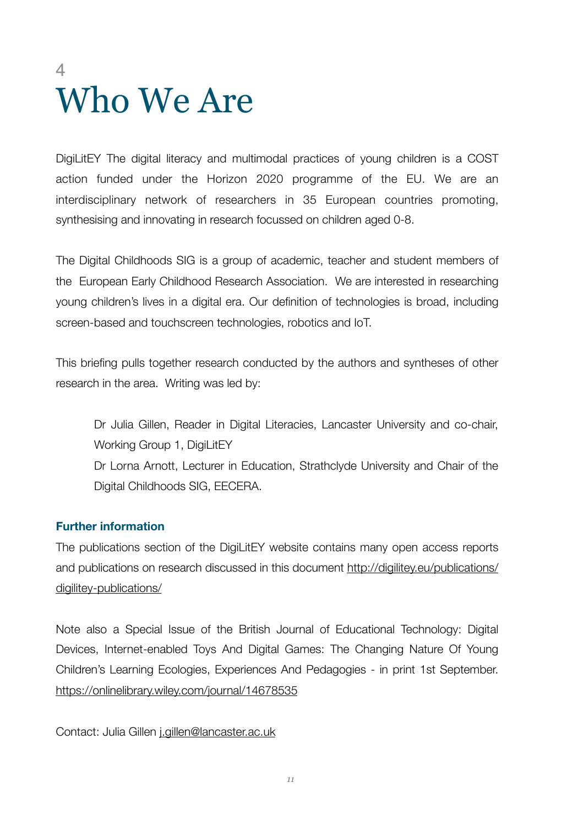## 4 Who We Are

DigiLitEY The digital literacy and multimodal practices of young children is a COST action funded under the Horizon 2020 programme of the EU. We are an interdisciplinary network of researchers in 35 European countries promoting, synthesising and innovating in research focussed on children aged 0-8.

The Digital Childhoods SIG is a group of academic, teacher and student members of the European Early Childhood Research Association. We are interested in researching young children's lives in a digital era. Our definition of technologies is broad, including screen-based and touchscreen technologies, robotics and IoT.

This briefing pulls together research conducted by the authors and syntheses of other research in the area. Writing was led by:

Dr Julia Gillen, Reader in Digital Literacies, Lancaster University and co-chair, Working Group 1, DigiLitEY Dr Lorna Arnott, Lecturer in Education, Strathclyde University and Chair of the Digital Childhoods SIG, EECERA.

#### **Further information**

The publications section of the DigiLitEY website contains many open access reports and publications on research discussed in this document [http://digilitey.eu/publications/](http://digilitey.eu/publications/digilitey-publications/) [digilitey-publications/](http://digilitey.eu/publications/digilitey-publications/)

Note also a Special Issue of the British Journal of Educational Technology: Digital Devices, Internet-enabled Toys And Digital Games: The Changing Nature Of Young Children's Learning Ecologies, Experiences And Pedagogies - in print 1st September. <https://onlinelibrary.wiley.com/journal/14678535>

Contact: Julia Gillen [j.gillen@lancaster.ac.uk](mailto:j.gillen@lancaster.ac.uk)